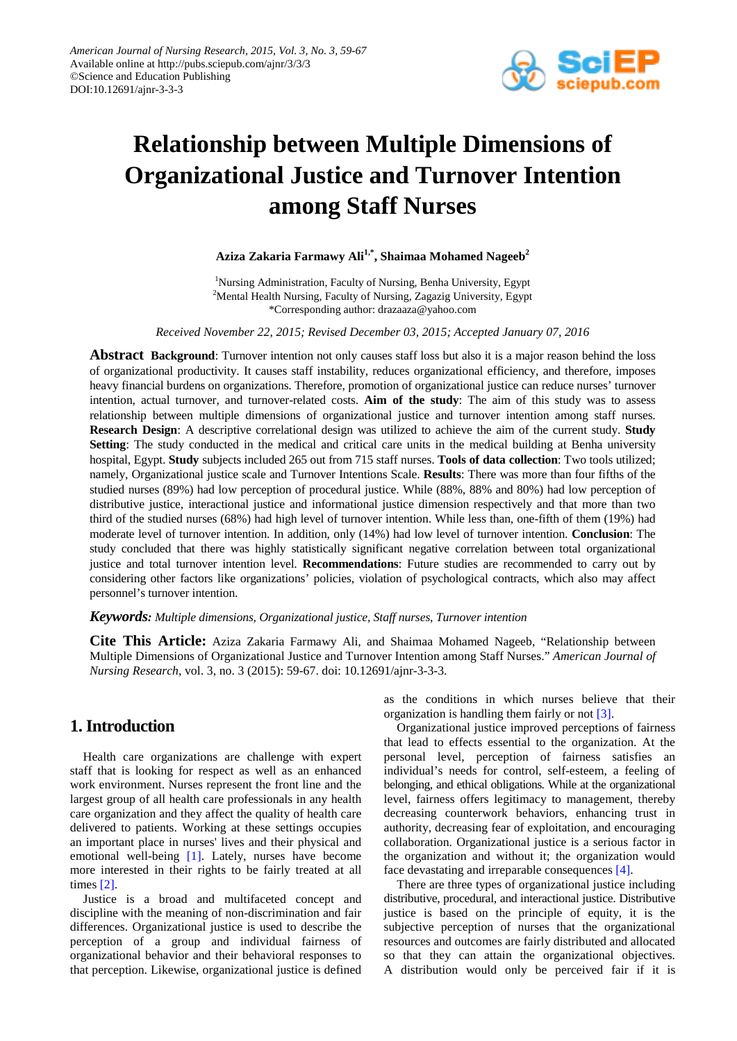

# **Relationship between Multiple Dimensions of Organizational Justice and Turnover Intention among Staff Nurses**

**Aziza Zakaria Farmawy Ali1,\*, Shaimaa Mohamed Nageeb2**

<sup>1</sup>Nursing Administration, Faculty of Nursing, Benha University, Egypt <sup>2</sup>Mental Health Nursing, Faculty of Nursing, Zagazig University, Egypt \*Corresponding author: drazaaza@yahoo.com

*Received November 22, 2015; Revised December 03, 2015; Accepted January 07, 2016*

**Abstract Background**: Turnover intention not only causes staff loss but also it is a major reason behind the loss of organizational productivity. It causes staff instability, reduces organizational efficiency, and therefore, imposes heavy financial burdens on organizations. Therefore, promotion of organizational justice can reduce nurses' turnover intention, actual turnover, and turnover-related costs. **Aim of the study**: The aim of this study was to assess relationship between multiple dimensions of organizational justice and turnover intention among staff nurses. **Research Design**: A descriptive correlational design was utilized to achieve the aim of the current study. **Study Setting**: The study conducted in the medical and critical care units in the medical building at Benha university hospital, Egypt. **Study** subjects included 265 out from 715 staff nurses. **Tools of data collection**: Two tools utilized; namely, Organizational justice scale and Turnover Intentions Scale. **Results**: There was more than four fifths of the studied nurses (89%) had low perception of procedural justice. While (88%, 88% and 80%) had low perception of distributive justice, interactional justice and informational justice dimension respectively and that more than two third of the studied nurses (68%) had high level of turnover intention. While less than, one-fifth of them (19%) had moderate level of turnover intention. In addition, only (14%) had low level of turnover intention. **Conclusion**: The study concluded that there was highly statistically significant negative correlation between total organizational justice and total turnover intention level. **Recommendations**: Future studies are recommended to carry out by considering other factors like organizations' policies, violation of psychological contracts, which also may affect personnel's turnover intention.

*Keywords: Multiple dimensions, Organizational justice, Staff nurses, Turnover intention*

**Cite This Article:** Aziza Zakaria Farmawy Ali, and Shaimaa Mohamed Nageeb, "Relationship between Multiple Dimensions of Organizational Justice and Turnover Intention among Staff Nurses." *American Journal of Nursing Research*, vol. 3, no. 3 (2015): 59-67. doi: 10.12691/ajnr-3-3-3.

# **1. Introduction**

Health care organizations are challenge with expert staff that is looking for respect as well as an enhanced work environment. Nurses represent the front line and the largest group of all health care professionals in any health care organization and they affect the quality of health care delivered to patients. Working at these settings occupies an important place in nurses' lives and their physical and emotional well-being [\[1\].](#page-7-0) Lately, nurses have become more interested in their rights to be fairly treated at all times [\[2\].](#page-7-1)

Justice is a broad and multifaceted concept and discipline with the meaning of non-discrimination and fair differences. Organizational justice is used to describe the perception of a group and individual fairness of organizational behavior and their behavioral responses to that perception. Likewise, organizational justice is defined as the conditions in which nurses believe that their organization is handling them fairly or not [\[3\].](#page-7-2)

Organizational justice improved perceptions of fairness that lead to effects essential to the organization. At the personal level, perception of fairness satisfies an individual's needs for control, self-esteem, a feeling of belonging, and ethical obligations. While at the organizational level, fairness offers legitimacy to management, thereby decreasing counterwork behaviors, enhancing trust in authority, decreasing fear of exploitation, and encouraging collaboration. Organizational justice is a serious factor in the organization and without it; the organization would face devastating and irreparable consequence[s \[4\].](#page-7-3)

There are three types of organizational justice including distributive, procedural, and interactional justice. Distributive justice is based on the principle of equity, it is the subjective perception of nurses that the organizational resources and outcomes are fairly distributed and allocated so that they can attain the organizational objectives. A distribution would only be perceived fair if it is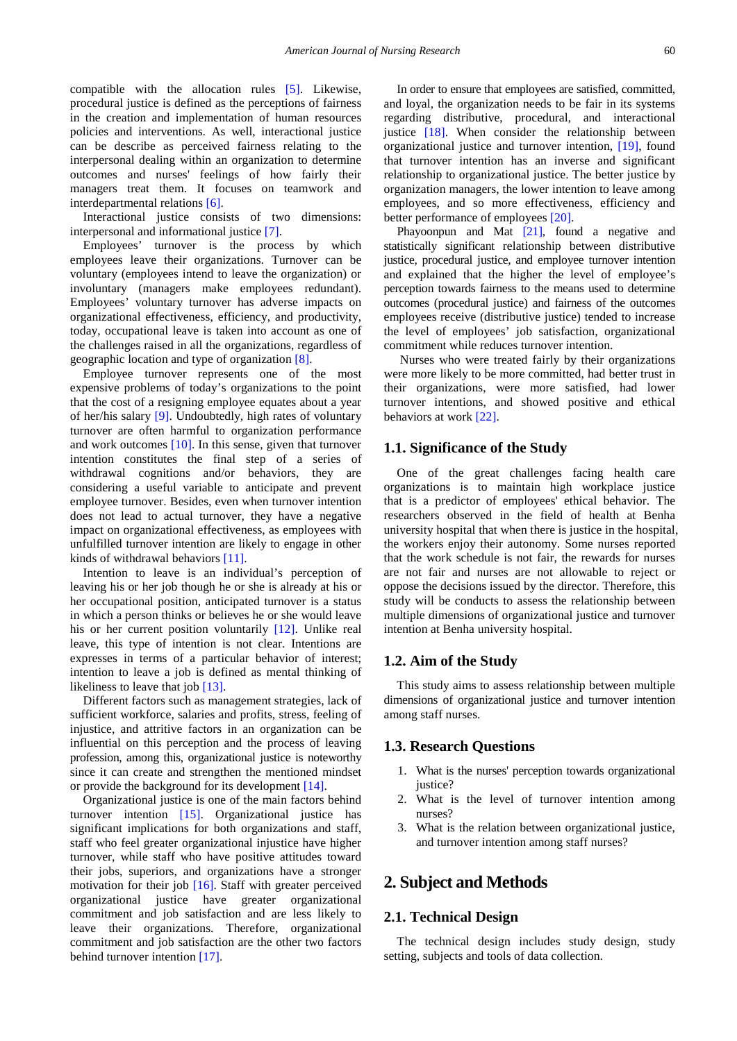compatible with the allocation rules [\[5\].](#page-7-4) Likewise, procedural justice is defined as the perceptions of fairness in the creation and implementation of human resources policies and interventions. As well, interactional justice can be describe as perceived fairness relating to the interpersonal dealing within an organization to determine outcomes and nurses' feelings of how fairly their managers treat them. It focuses on teamwork and interdepartmental relation[s \[6\].](#page-7-5) 

Interactional justice consists of two dimensions: interpersonal and informational justice [\[7\].](#page-7-6)

Employees' turnover is the process by which employees leave their organizations. Turnover can be voluntary (employees intend to leave the organization) or involuntary (managers make employees redundant). Employees' voluntary turnover has adverse impacts on organizational effectiveness, efficiency, and productivity, today, occupational leave is taken into account as one of the challenges raised in all the organizations, regardless of geographic location and type of organization [\[8\].](#page-7-7)

Employee turnover represents one of the most expensive problems of today's organizations to the point that the cost of a resigning employee equates about a year of her/his salary [\[9\].](#page-7-8) Undoubtedly, high rates of voluntary turnover are often harmful to organization performance and work outcomes [\[10\].](#page-7-9) In this sense, given that turnover intention constitutes the final step of a series of withdrawal cognitions and/or behaviors, they are considering a useful variable to anticipate and prevent employee turnover. Besides, even when turnover intention does not lead to actual turnover, they have a negative impact on organizational effectiveness, as employees with unfulfilled turnover intention are likely to engage in other kinds of withdrawal behaviors [\[11\].](#page-7-10)

Intention to leave is an individual's perception of leaving his or her job though he or she is already at his or her occupational position, anticipated turnover is a status in which a person thinks or believes he or she would leave his or her current position voluntarily [\[12\].](#page-7-11) Unlike real leave, this type of intention is not clear. Intentions are expresses in terms of a particular behavior of interest; intention to leave a job is defined as mental thinking of likeliness to leave that jo[b \[13\].](#page-7-12)

Different factors such as management strategies, lack of sufficient workforce, salaries and profits, stress, feeling of injustice, and attritive factors in an organization can be influential on this perception and the process of leaving profession, among this, organizational justice is noteworthy since it can create and strengthen the mentioned mindset or provide the background for its development [\[14\].](#page-7-13)

Organizational justice is one of the main factors behind turnover intention [\[15\].](#page-7-14) Organizational justice has significant implications for both organizations and staff, staff who feel greater organizational injustice have higher turnover, while staff who have positive attitudes toward their jobs, superiors, and organizations have a stronger motivation for their job [\[16\].](#page-7-15) Staff with greater perceived organizational justice have greater organizational commitment and job satisfaction and are less likely to leave their organizations. Therefore, organizational commitment and job satisfaction are the other two factors behind turnover intention [\[17\].](#page-7-16)

In order to ensure that employees are satisfied, committed, and loyal, the organization needs to be fair in its systems regarding distributive, procedural, and interactional justice [\[18\].](#page-7-17) When consider the relationship between organizational justice and turnover intention, [\[19\],](#page-7-18) found that turnover intention has an inverse and significant relationship to organizational justice. The better justice by organization managers, the lower intention to leave among employees, and so more effectiveness, efficiency and better performance of employee[s \[20\].](#page-7-19)

Phayoonpun and Mat [\[21\],](#page-7-20) found a negative and statistically significant relationship between distributive justice, procedural justice, and employee turnover intention and explained that the higher the level of employee's perception towards fairness to the means used to determine outcomes (procedural justice) and fairness of the outcomes employees receive (distributive justice) tended to increase the level of employees' job satisfaction, organizational commitment while reduces turnover intention.

Nurses who were treated fairly by their organizations were more likely to be more committed, had better trust in their organizations, were more satisfied, had lower turnover intentions, and showed positive and ethical behaviors at work [\[22\].](#page-7-21)

## **1.1. Significance of the Study**

One of the great challenges facing health care organizations is to maintain high workplace justice that is a predictor of employees' ethical behavior. The researchers observed in the field of health at Benha university hospital that when there is justice in the hospital, the workers enjoy their autonomy. Some nurses reported that the work schedule is not fair, the rewards for nurses are not fair and nurses are not allowable to reject or oppose the decisions issued by the director. Therefore, this study will be conducts to assess the relationship between multiple dimensions of organizational justice and turnover intention at Benha university hospital.

## **1.2. Aim of the Study**

This study aims to assess relationship between multiple dimensions of organizational justice and turnover intention among staff nurses.

## **1.3. Research Questions**

- 1. What is the nurses' perception towards organizational justice?
- 2. What is the level of turnover intention among nurses?
- 3. What is the relation between organizational justice, and turnover intention among staff nurses?

# **2. Subject and Methods**

## **2.1. Technical Design**

The technical design includes study design, study setting, subjects and tools of data collection.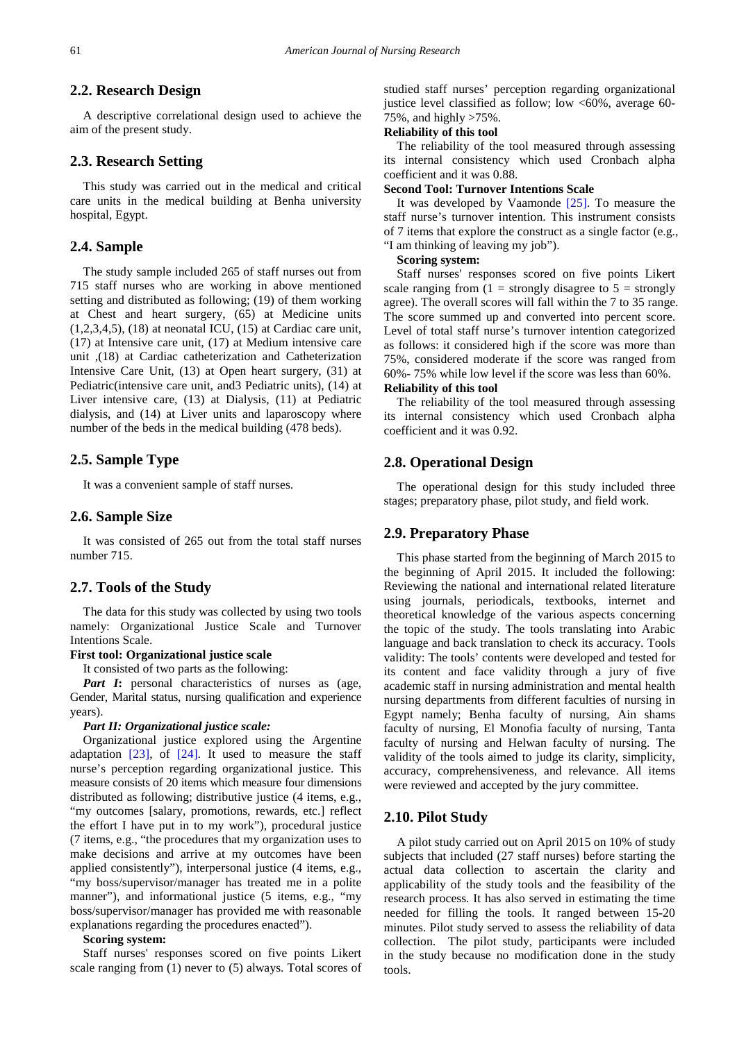# **2.2. Research Design**

A descriptive correlational design used to achieve the aim of the present study.

## **2.3. Research Setting**

This study was carried out in the medical and critical care units in the medical building at Benha university hospital, Egypt.

## **2.4. Sample**

The study sample included 265 of staff nurses out from 715 staff nurses who are working in above mentioned setting and distributed as following; (19) of them working at Chest and heart surgery, (65) at Medicine units  $(1,2,3,4,5)$ ,  $(18)$  at neonatal ICU,  $(15)$  at Cardiac care unit, (17) at Intensive care unit, (17) at Medium intensive care unit ,(18) at Cardiac catheterization and Catheterization Intensive Care Unit, (13) at Open heart surgery, (31) at Pediatric(intensive care unit, and3 Pediatric units), (14) at Liver intensive care, (13) at Dialysis, (11) at Pediatric dialysis, and (14) at Liver units and laparoscopy where number of the beds in the medical building (478 beds).

## **2.5. Sample Type**

It was a convenient sample of staff nurses.

#### **2.6. Sample Size**

It was consisted of 265 out from the total staff nurses number 715.

## **2.7. Tools of the Study**

The data for this study was collected by using two tools namely: Organizational Justice Scale and Turnover Intentions Scale.

## **First tool: Organizational justice scale**

It consisted of two parts as the following:

*Part I***:** personal characteristics of nurses as (age, Gender, Marital status, nursing qualification and experience years).

#### *Part II: Organizational justice scale:*

Organizational justice explored using the Argentine adaptation  $[23]$ , of  $[24]$ . It used to measure the staff nurse's perception regarding organizational justice. This measure consists of 20 items which measure four dimensions distributed as following; distributive justice (4 items, e.g., "my outcomes [salary, promotions, rewards, etc.] reflect the effort I have put in to my work"), procedural justice (7 items, e.g., "the procedures that my organization uses to make decisions and arrive at my outcomes have been applied consistently"), interpersonal justice (4 items, e.g., "my boss/supervisor/manager has treated me in a polite manner"), and informational justice (5 items, e.g., "my boss/supervisor/manager has provided me with reasonable explanations regarding the procedures enacted").

#### **Scoring system:**

Staff nurses' responses scored on five points Likert scale ranging from (1) never to (5) always. Total scores of studied staff nurses' perception regarding organizational justice level classified as follow; low  $<60\%$ , average 60-75%, and highly >75%.

## **Reliability of this tool**

The reliability of the tool measured through assessing its internal consistency which used Cronbach alpha coefficient and it was 0.88.

#### **Second Tool: Turnover Intentions Scale**

It was developed by Vaamonde [\[25\].](#page-7-24) To measure the staff nurse's turnover intention. This instrument consists of 7 items that explore the construct as a single factor (e.g., "I am thinking of leaving my job").

#### **Scoring system:**

Staff nurses' responses scored on five points Likert scale ranging from  $(1 =$  strongly disagree to  $5 =$  strongly agree). The overall scores will fall within the 7 to 35 range. The score summed up and converted into percent score. Level of total staff nurse's turnover intention categorized as follows: it considered high if the score was more than 75%, considered moderate if the score was ranged from 60%- 75% while low level if the score was less than 60%.

#### **Reliability of this tool**

The reliability of the tool measured through assessing its internal consistency which used Cronbach alpha coefficient and it was 0.92.

## **2.8. Operational Design**

The operational design for this study included three stages; preparatory phase, pilot study, and field work.

## **2.9. Preparatory Phase**

This phase started from the beginning of March 2015 to the beginning of April 2015. It included the following: Reviewing the national and international related literature using journals, periodicals, textbooks, internet and theoretical knowledge of the various aspects concerning the topic of the study. The tools translating into Arabic language and back translation to check its accuracy. Tools validity: The tools' contents were developed and tested for its content and face validity through a jury of five academic staff in nursing administration and mental health nursing departments from different faculties of nursing in Egypt namely; Benha faculty of nursing, Ain shams faculty of nursing, El Monofia faculty of nursing, Tanta faculty of nursing and Helwan faculty of nursing. The validity of the tools aimed to judge its clarity, simplicity, accuracy, comprehensiveness, and relevance. All items were reviewed and accepted by the jury committee.

## **2.10. Pilot Study**

A pilot study carried out on April 2015 on 10% of study subjects that included (27 staff nurses) before starting the actual data collection to ascertain the clarity and applicability of the study tools and the feasibility of the research process. It has also served in estimating the time needed for filling the tools. It ranged between 15-20 minutes. Pilot study served to assess the reliability of data collection. The pilot study, participants were included in the study because no modification done in the study tools.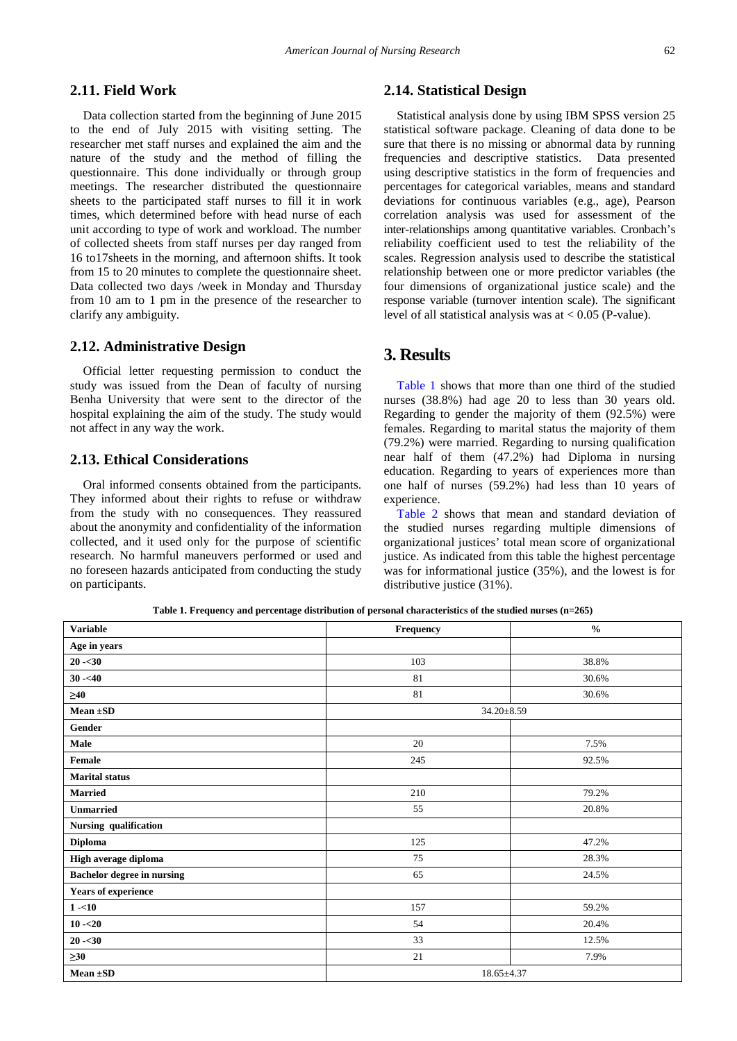# **2.11. Field Work**

Data collection started from the beginning of June 2015 to the end of July 2015 with visiting setting. The researcher met staff nurses and explained the aim and the nature of the study and the method of filling the questionnaire. This done individually or through group meetings. The researcher distributed the questionnaire sheets to the participated staff nurses to fill it in work times, which determined before with head nurse of each unit according to type of work and workload. The number of collected sheets from staff nurses per day ranged from 16 to17sheets in the morning, and afternoon shifts. It took from 15 to 20 minutes to complete the questionnaire sheet. Data collected two days /week in Monday and Thursday from 10 am to 1 pm in the presence of the researcher to clarify any ambiguity.

#### **2.12. Administrative Design**

Official letter requesting permission to conduct the study was issued from the Dean of faculty of nursing Benha University that were sent to the director of the hospital explaining the aim of the study. The study would not affect in any way the work.

# **2.13. Ethical Considerations**

Oral informed consents obtained from the participants. They informed about their rights to refuse or withdraw from the study with no consequences. They reassured about the anonymity and confidentiality of the information collected, and it used only for the purpose of scientific research. No harmful maneuvers performed or used and no foreseen hazards anticipated from conducting the study on participants.

# **2.14. Statistical Design**

Statistical analysis done by using IBM SPSS version 25 statistical software package. Cleaning of data done to be sure that there is no missing or abnormal data by running frequencies and descriptive statistics. Data presented using descriptive statistics in the form of frequencies and percentages for categorical variables, means and standard deviations for continuous variables (e.g., age), Pearson correlation analysis was used for assessment of the inter-relationships among quantitative variables. Cronbach's reliability coefficient used to test the reliability of the scales. Regression analysis used to describe the statistical relationship between one or more predictor variables (the four dimensions of organizational justice scale) and the response variable (turnover intention scale). The significant level of all statistical analysis was at  $< 0.05$  (P-value).

# **3. Results**

[Table 1](#page-3-0) shows that more than one third of the studied nurses (38.8%) had age 20 to less than 30 years old. Regarding to gender the majority of them (92.5%) were females. Regarding to marital status the majority of them (79.2%) were married. Regarding to nursing qualification near half of them (47.2%) had Diploma in nursing education. Regarding to years of experiences more than one half of nurses (59.2%) had less than 10 years of experience.

[Table 2](#page-4-0) shows that mean and standard deviation of the studied nurses regarding multiple dimensions of organizational justices' total mean score of organizational justice. As indicated from this table the highest percentage was for informational justice (35%), and the lowest is for distributive justice (31%).

**Table 1. Frequency and percentage distribution of personal characteristics of the studied nurses (n=265)**

<span id="page-3-0"></span>

| <b>Variable</b>                   | Frequency  | $\frac{0}{0}$ |
|-----------------------------------|------------|---------------|
| Age in years                      |            |               |
| $20 - 30$                         | 103        | 38.8%         |
| $30 - 40$                         | 81         | 30.6%         |
| $\geq 40$                         | 81         | 30.6%         |
| Mean $\pm SD$                     | 34.20±8.59 |               |
| Gender                            |            |               |
| Male                              | 20         | 7.5%          |
| Female                            | 245        | 92.5%         |
| <b>Marital status</b>             |            |               |
| <b>Married</b>                    | 210        | 79.2%         |
| <b>Unmarried</b>                  | 55         | 20.8%         |
| Nursing qualification             |            |               |
| <b>Diploma</b>                    | 125        | 47.2%         |
| High average diploma              | 75         | 28.3%         |
| <b>Bachelor degree in nursing</b> | 65         | 24.5%         |
| <b>Years of experience</b>        |            |               |
| $1 - 10$                          | 157        | 59.2%         |
| $10 - 20$                         | 54         | 20.4%         |
| $20 - 30$                         | 33         | 12.5%         |
| $\geq 30$                         | 21         | 7.9%          |
| Mean $\pm SD$                     | 18.65±4.37 |               |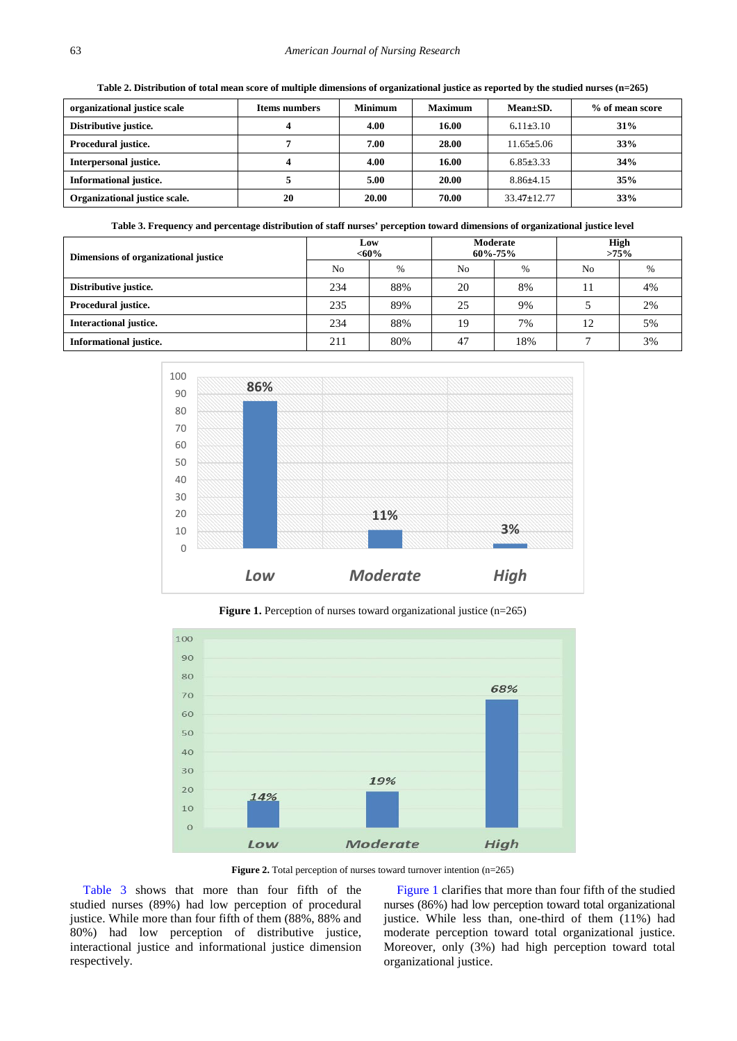**Table 2. Distribution of total mean score of multiple dimensions of organizational justice as reported by the studied nurses (n=265)**

<span id="page-4-1"></span><span id="page-4-0"></span>

| organizational justice scale  | <b>Items numbers</b> | <b>Minimum</b> | <b>Maximum</b> | $Mean \pm SD$ .   | % of mean score |
|-------------------------------|----------------------|----------------|----------------|-------------------|-----------------|
| Distributive justice.         |                      | 4.00           | 16.00          | $6.11 \pm 3.10$   | 31%             |
| Procedural justice.           |                      | 7.00           | 28.00          | $11.65 \pm 5.06$  | 33%             |
| Interpersonal justice.        |                      | 4.00           | 16.00          | $6.85 \pm 3.33$   | 34%             |
| <b>Informational justice.</b> |                      | 5.00           | 20.00          | $8.86\pm4.15$     | 35%             |
| Organizational justice scale. | 20                   | 20.00          | 70.00          | $33.47 \pm 12.77$ | 33%             |

**Table 3. Frequency and percentage distribution of staff nurses' perception toward dimensions of organizational justice level**

| Dimensions of organizational justice | Low<br>$<,60\%$ |               | Moderate<br>$60\% - 75\%$ |      | <b>High</b><br>$>75\%$ |      |
|--------------------------------------|-----------------|---------------|---------------------------|------|------------------------|------|
|                                      | N <sub>o</sub>  | $\frac{0}{6}$ | No                        | $\%$ | No                     | $\%$ |
| Distributive justice.                | 234             | 88%           | 20                        | 8%   |                        | 4%   |
| Procedural justice.                  | 235             | 89%           | 25                        | 9%   |                        | 2%   |
| Interactional justice.               | 234             | 88%           | 19                        | 7%   | 12                     | 5%   |
| Informational justice.               | 211             | 80%           | 47                        | 18%  |                        | 3%   |

<span id="page-4-2"></span>

**Figure 1.** Perception of nurses toward organizational justice (n=265)

<span id="page-4-3"></span>

**Figure 2.** Total perception of nurses toward turnover intention (n=265)

[Table 3](#page-4-1) shows that more than four fifth of the studied nurses (89%) had low perception of procedural justice. While more than four fifth of them (88%, 88% and 80%) had low perception of distributive justice, interactional justice and informational justice dimension respectively.

[Figure 1](#page-4-2) clarifies that more than four fifth of the studied nurses (86%) had low perception toward total organizational justice. While less than, one-third of them (11%) had moderate perception toward total organizational justice. Moreover, only (3%) had high perception toward total organizational justice.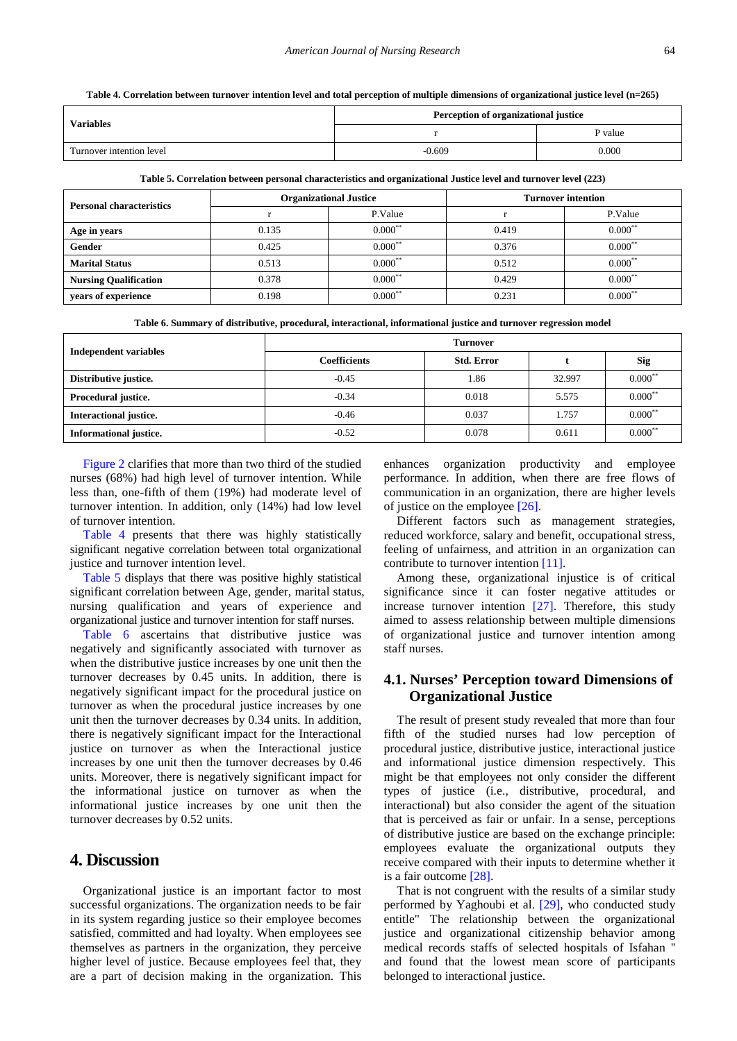**Table 4. Correlation between turnover intention level and total perception of multiple dimensions of organizational justice level (n=265)**

<span id="page-5-0"></span>

| <b>Variables</b>         | Perception of organizational justice |         |  |
|--------------------------|--------------------------------------|---------|--|
|                          |                                      | P value |  |
| Turnover intention level | -0.609                               | 0.000   |  |

**Table 5. Correlation between personal characteristics and organizational Justice level and turnover level (223)**

<span id="page-5-1"></span>

| <b>Personal characteristics</b> |       | <b>Organizational Justice</b> | <b>Turnover intention</b> |           |  |
|---------------------------------|-------|-------------------------------|---------------------------|-----------|--|
|                                 |       | P.Value                       |                           | P.Value   |  |
| Age in years                    | 0.135 | $0.000$ **                    | 0.419                     | $0.000^*$ |  |
| <b>Gender</b>                   | 0.425 | $0.000^{**}$                  | 0.376                     | $0.000^*$ |  |
| <b>Marital Status</b>           | 0.513 | $0.000$ <sup>**</sup>         | 0.512                     | $0.000*$  |  |
| <b>Nursing Qualification</b>    | 0.378 | $0.000***$                    | 0.429                     | $0.000*$  |  |
| years of experience             | 0.198 | $0.000***$                    | 0.231                     | $0.000*$  |  |

**Table 6. Summary of distributive, procedural, interactional, informational justice and turnover regression model**

<span id="page-5-2"></span>

| <b>Independent variables</b> | Turnover            |                   |        |            |  |
|------------------------------|---------------------|-------------------|--------|------------|--|
|                              | <b>Coefficients</b> | <b>Std. Error</b> |        | <b>Sig</b> |  |
| Distributive justice.        | $-0.45$             | 1.86              | 32.997 | $0.000**$  |  |
| Procedural justice.          | $-0.34$             | 0.018             | 5.575  | $0.000$ *  |  |
| Interactional justice.       | $-0.46$             | 0.037             | 1.757  | 0.000      |  |
| Informational justice.       | $-0.52$             | 0.078             | 0.611  | $0.000$ *  |  |

[Figure 2](#page-4-3) clarifies that more than two third of the studied nurses (68%) had high level of turnover intention. While less than, one-fifth of them (19%) had moderate level of turnover intention. In addition, only (14%) had low level of turnover intention.

[Table 4](#page-5-0) presents that there was highly statistically significant negative correlation between total organizational justice and turnover intention level.

[Table 5](#page-5-1) displays that there was positive highly statistical significant correlation between Age, gender, marital status, nursing qualification and years of experience and organizational justice and turnover intention for staff nurses.

[Table 6](#page-5-2) ascertains that distributive justice was negatively and significantly associated with turnover as when the distributive justice increases by one unit then the turnover decreases by 0.45 units. In addition, there is negatively significant impact for the procedural justice on turnover as when the procedural justice increases by one unit then the turnover decreases by 0.34 units. In addition, there is negatively significant impact for the Interactional justice on turnover as when the Interactional justice increases by one unit then the turnover decreases by 0.46 units. Moreover, there is negatively significant impact for the informational justice on turnover as when the informational justice increases by one unit then the turnover decreases by 0.52 units.

# **4. Discussion**

Organizational justice is an important factor to most successful organizations. The organization needs to be fair in its system regarding justice so their employee becomes satisfied, committed and had loyalty. When employees see themselves as partners in the organization, they perceive higher level of justice. Because employees feel that, they are a part of decision making in the organization. This enhances organization productivity and employee performance. In addition, when there are free flows of communication in an organization, there are higher levels of justice on the employee [\[26\].](#page-7-25)

Different factors such as management strategies, reduced workforce, salary and benefit, occupational stress, feeling of unfairness, and attrition in an organization can contribute to turnover intention [\[11\].](#page-7-10)

Among these, organizational injustice is of critical significance since it can foster negative attitudes or increase turnover intention [\[27\].](#page-7-26) Therefore, this study aimed to assess relationship between multiple dimensions of organizational justice and turnover intention among staff nurses.

# **4.1. Nurses' Perception toward Dimensions of Organizational Justice**

The result of present study revealed that more than four fifth of the studied nurses had low perception of procedural justice, distributive justice, interactional justice and informational justice dimension respectively. This might be that employees not only consider the different types of justice (i.e., distributive, procedural, and interactional) but also consider the agent of the situation that is perceived as fair or unfair. In a sense, perceptions of distributive justice are based on the exchange principle: employees evaluate the organizational outputs they receive compared with their inputs to determine whether it is a fair outcom[e \[28\].](#page-7-27)

That is not congruent with the results of a similar study performed by Yaghoubi et al. [\[29\],](#page-7-28) who conducted study entitle" The relationship between the organizational justice and organizational citizenship behavior among medical records staffs of selected hospitals of Isfahan '' and found that the lowest mean score of participants belonged to interactional justice.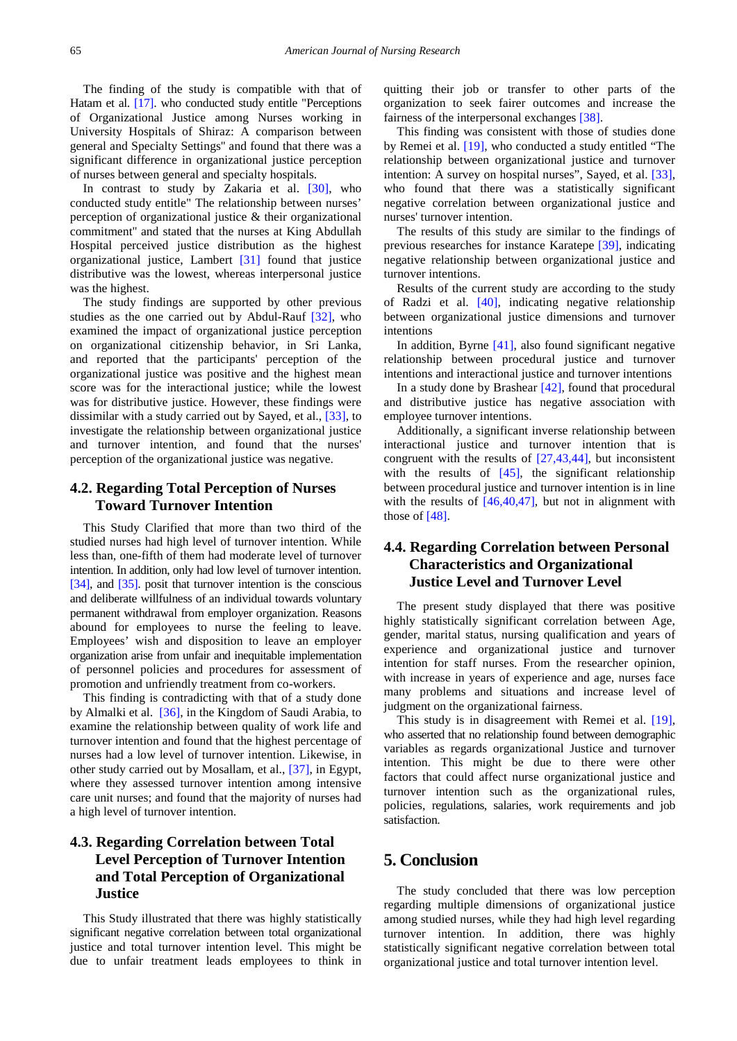The finding of the study is compatible with that of Hatam et al. [\[17\].](#page-7-16) who conducted study entitle "Perceptions of Organizational Justice among Nurses working in University Hospitals of Shiraz: A comparison between general and Specialty Settings'' and found that there was a significant difference in organizational justice perception of nurses between general and specialty hospitals.

In contrast to study by Zakaria et al. [\[30\],](#page-7-29) who conducted study entitle" The relationship between nurses' perception of organizational justice & their organizational commitment'' and stated that the nurses at King Abdullah Hospital perceived justice distribution as the highest organizational justice, Lambert [\[31\]](#page-7-30) found that justice distributive was the lowest, whereas interpersonal justice was the highest.

The study findings are supported by other previous studies as the one carried out by Abdul-Rauf [\[32\],](#page-7-31) who examined the impact of organizational justice perception on organizational citizenship behavior, in Sri Lanka, and reported that the participants' perception of the organizational justice was positive and the highest mean score was for the interactional justice; while the lowest was for distributive justice. However, these findings were dissimilar with a study carried out by Sayed, et al.[, \[33\],](#page-7-32) to investigate the relationship between organizational justice and turnover intention, and found that the nurses' perception of the organizational justice was negative.

# **4.2. Regarding Total Perception of Nurses Toward Turnover Intention**

This Study Clarified that more than two third of the studied nurses had high level of turnover intention. While less than, one-fifth of them had moderate level of turnover intention. In addition, only had low level of turnover intention. [\[34\],](#page-8-0) and [\[35\].](#page-8-1) posit that turnover intention is the conscious and deliberate willfulness of an individual towards voluntary permanent withdrawal from employer organization. Reasons abound for employees to nurse the feeling to leave. Employees' wish and disposition to leave an employer organization arise from unfair and inequitable implementation of personnel policies and procedures for assessment of promotion and unfriendly treatment from co-workers.

This finding is contradicting with that of a study done by Almalki et al. [\[36\],](#page-8-2) in the Kingdom of Saudi Arabia, to examine the relationship between quality of work life and turnover intention and found that the highest percentage of nurses had a low level of turnover intention. Likewise, in other study carried out by Mosallam, et al., [\[37\],](#page-8-3) in Egypt, where they assessed turnover intention among intensive care unit nurses; and found that the majority of nurses had a high level of turnover intention.

# **4.3. Regarding Correlation between Total Level Perception of Turnover Intention and Total Perception of Organizational Justice**

This Study illustrated that there was highly statistically significant negative correlation between total organizational justice and total turnover intention level. This might be due to unfair treatment leads employees to think in

quitting their job or transfer to other parts of the organization to seek fairer outcomes and increase the fairness of the interpersonal exchanges [\[38\].](#page-8-4)

This finding was consistent with those of studies done by Remei et al. [\[19\],](#page-7-18) who conducted a study entitled "The relationship between organizational justice and turnover intention: A survey on hospital nurses", Sayed, et al. [\[33\],](#page-7-32) who found that there was a statistically significant negative correlation between organizational justice and nurses' turnover intention.

The results of this study are similar to the findings of previous researches for instance Karatepe [\[39\],](#page-8-5) indicating negative relationship between organizational justice and turnover intentions.

Results of the current study are according to the study of Radzi et al. [\[40\],](#page-8-6) indicating negative relationship between organizational justice dimensions and turnover intentions

In addition, Byrne  $[41]$ , also found significant negative relationship between procedural justice and turnover intentions and interactional justice and turnover intentions

In a study done by Brashear  $[42]$ , found that procedural and distributive justice has negative association with employee turnover intentions.

Additionally, a significant inverse relationship between interactional justice and turnover intention that is congruent with the results of [\[27,43,44\],](#page-7-26) but inconsistent with the results of  $[45]$ , the significant relationship between procedural justice and turnover intention is in line with the results of  $[46,40,47]$ , but not in alignment with those o[f \[48\].](#page-8-11)

# **4.4. Regarding Correlation between Personal Characteristics and Organizational Justice Level and Turnover Level**

The present study displayed that there was positive highly statistically significant correlation between Age, gender, marital status, nursing qualification and years of experience and organizational justice and turnover intention for staff nurses. From the researcher opinion, with increase in years of experience and age, nurses face many problems and situations and increase level of judgment on the organizational fairness.

This study is in disagreement with Remei et al. [\[19\],](#page-7-18) who asserted that no relationship found between demographic variables as regards organizational Justice and turnover intention. This might be due to there were other factors that could affect nurse organizational justice and turnover intention such as the organizational rules, policies, regulations, salaries, work requirements and job satisfaction.

# **5. Conclusion**

The study concluded that there was low perception regarding multiple dimensions of organizational justice among studied nurses, while they had high level regarding turnover intention. In addition, there was highly statistically significant negative correlation between total organizational justice and total turnover intention level.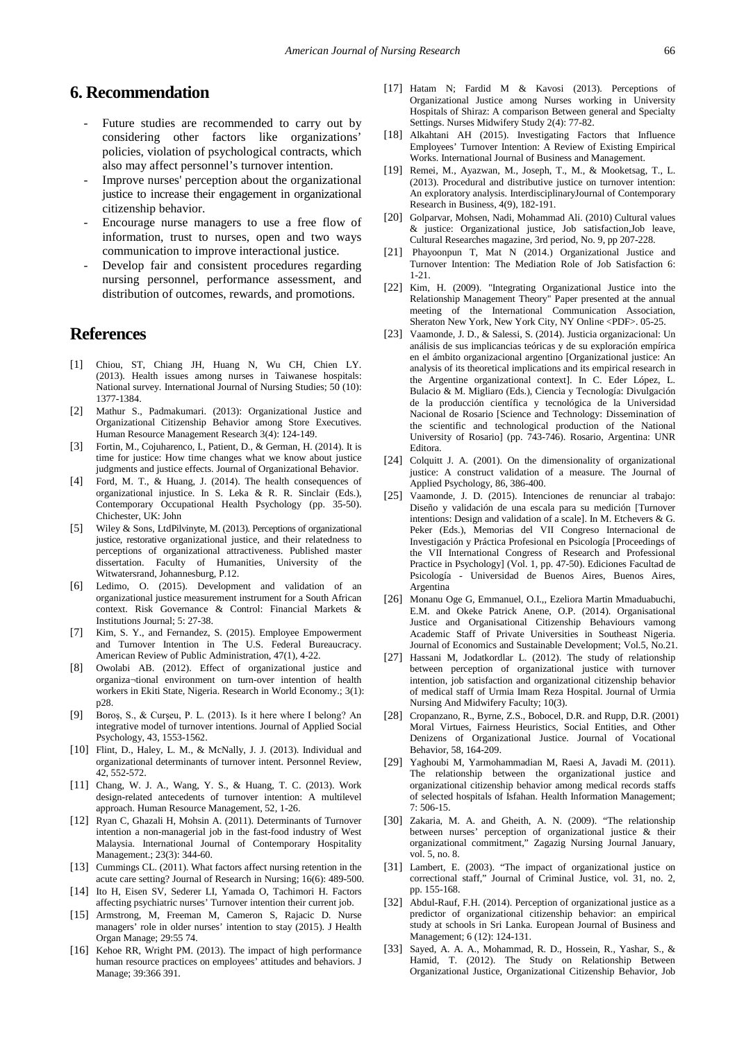# **6. Recommendation**

- Future studies are recommended to carry out by considering other factors like organizations' policies, violation of psychological contracts, which also may affect personnel's turnover intention.
- Improve nurses' perception about the organizational justice to increase their engagement in organizational citizenship behavior.
- Encourage nurse managers to use a free flow of information, trust to nurses, open and two ways communication to improve interactional justice.
- Develop fair and consistent procedures regarding nursing personnel, performance assessment, and distribution of outcomes, rewards, and promotions.

# **References**

- <span id="page-7-0"></span>[1] Chiou, ST, Chiang JH, Huang N, Wu CH, Chien LY. (2013). Health issues among nurses in Taiwanese hospitals: National survey. International Journal of Nursing Studies; 50 (10): 1377-1384.
- <span id="page-7-1"></span>[2] Mathur S., Padmakumari. (2013): Organizational Justice and Organizational Citizenship Behavior among Store Executives. Human Resource Management Research 3(4): 124-149.
- <span id="page-7-2"></span>[3] Fortin, M., Cojuharenco, I., Patient, D., & German, H. (2014). It is time for justice: How time changes what we know about justice judgments and justice effects. Journal of Organizational Behavior.
- <span id="page-7-3"></span>[4] Ford, M. T., & Huang, J. (2014). The health consequences of organizational injustice. In S. Leka & R. R. Sinclair (Eds.), Contemporary Occupational Health Psychology (pp. 35-50). Chichester, UK: John
- <span id="page-7-4"></span>[5] Wiley & Sons, LtdPilvinyte, M. (2013). Perceptions of organizational justice, restorative organizational justice, and their relatedness to perceptions of organizational attractiveness. Published master dissertation. Faculty of Humanities, University of the Witwatersrand, Johannesburg, P.12.
- <span id="page-7-5"></span>[6] Ledimo, O. (2015). Development and validation of an organizational justice measurement instrument for a South African context. Risk Governance & Control: Financial Markets & Institutions Journal; 5: 27-38.
- <span id="page-7-6"></span>[7] Kim, S. Y., and Fernandez, S. (2015). Employee Empowerment and Turnover Intention in The U.S. Federal Bureaucracy. American Review of Public Administration, 47(1), 4-22.
- <span id="page-7-7"></span>[8] Owolabi AB. (2012). Effect of organizational justice and organiza¬tional environment on turn-over intention of health workers in Ekiti State, Nigeria. Research in World Economy.; 3(1): p28.
- <span id="page-7-8"></span>[9] Boroş, S., & Curşeu, P. L. (2013). Is it here where I belong? An integrative model of turnover intentions. Journal of Applied Social Psychology, 43, 1553-1562.
- <span id="page-7-9"></span>[10] Flint, D., Haley, L. M., & McNally, J. J. (2013). Individual and organizational determinants of turnover intent. Personnel Review, 42, 552-572.
- <span id="page-7-10"></span>[11] Chang, W. J. A., Wang, Y. S., & Huang, T. C. (2013). Work design-related antecedents of turnover intention: A multilevel approach. Human Resource Management, 52, 1-26.
- <span id="page-7-11"></span>[12] Ryan C, Ghazali H, Mohsin A. (2011). Determinants of Turnover intention a non-managerial job in the fast-food industry of West Malaysia. International Journal of Contemporary Hospitality Management.; 23(3): 344-60.
- <span id="page-7-12"></span>[13] Cummings CL. (2011). What factors affect nursing retention in the acute care setting? Journal of Research in Nursing; 16(6): 489-500.
- <span id="page-7-13"></span>[14] Ito H, Eisen SV, Sederer LI, Yamada O, Tachimori H. Factors affecting psychiatric nurses' Turnover intention their current job.
- <span id="page-7-14"></span>[15] Armstrong, M, Freeman M, Cameron S, Rajacic D. Nurse managers' role in older nurses' intention to stay (2015). J Health Organ Manage; 29:55 74.
- <span id="page-7-15"></span>[16] Kehoe RR, Wright PM. (2013). The impact of high performance human resource practices on employees' attitudes and behaviors. J Manage; 39:366 391.
- <span id="page-7-16"></span>[17] Hatam N; Fardid M & Kavosi (2013). Perceptions of Organizational Justice among Nurses working in University Hospitals of Shiraz: A comparison Between general and Specialty Settings. Nurses Midwifery Study 2(4): 77-82.
- <span id="page-7-17"></span>[18] Alkahtani AH (2015). Investigating Factors that Influence Employees' Turnover Intention: A Review of Existing Empirical Works. International Journal of Business and Management.
- <span id="page-7-18"></span>[19] Remei, M., Ayazwan, M., Joseph, T., M., & Mooketsag, T., L. (2013). Procedural and distributive justice on turnover intention: An exploratory analysis. InterdisciplinaryJournal of Contemporary Research in Business, 4(9), 182-191.
- <span id="page-7-19"></span>[20] Golparvar, Mohsen, Nadi, Mohammad Ali. (2010) Cultural values & justice: Organizational justice, Job satisfaction,Job leave, Cultural Researches magazine, 3rd period, No. 9, pp 207-228.
- <span id="page-7-20"></span>[21] Phayoonpun T, Mat N (2014.) Organizational Justice and Turnover Intention: The Mediation Role of Job Satisfaction 6: 1-21.
- <span id="page-7-21"></span>[22] Kim, H. (2009). "Integrating Organizational Justice into the Relationship Management Theory" Paper presented at the annual meeting of the International Communication Association, Sheraton New York, New York City, NY Online <PDF>. 05-25.
- <span id="page-7-22"></span>[23] Vaamonde, J. D., & Salessi, S. (2014). Justicia organizacional: Un análisis de sus implicancias teóricas y de su exploración empírica en el ámbito organizacional argentino [Organizational justice: An analysis of its theoretical implications and its empirical research in the Argentine organizational context]. In C. Eder López, L. Bulacio & M. Migliaro (Eds.), Ciencia y Tecnología: Divulgación de la producción científica y tecnológica de la Universidad Nacional de Rosario [Science and Technology: Dissemination of the scientific and technological production of the National University of Rosario] (pp. 743-746). Rosario, Argentina: UNR Editora.
- <span id="page-7-23"></span>[24] Colquitt J. A. (2001). On the dimensionality of organizational justice: A construct validation of a measure. The Journal of Applied Psychology, 86, 386-400.
- <span id="page-7-24"></span>[25] Vaamonde, J. D. (2015). Intenciones de renunciar al trabajo: Diseño y validación de una escala para su medición [Turnover intentions: Design and validation of a scale]. In M. Etchevers & G. Peker (Eds.), Memorias del VII Congreso Internacional de Investigación y Práctica Profesional en Psicología [Proceedings of the VII International Congress of Research and Professional Practice in Psychology] (Vol. 1, pp. 47-50). Ediciones Facultad de Psicología - Universidad de Buenos Aires, Buenos Aires, Argentina
- <span id="page-7-25"></span>[26] Monanu Oge G, Emmanuel, O.I.,, Ezeliora Martin Mmaduabuchi, E.M. and Okeke Patrick Anene, O.P. (2014). Organisational Justice and Organisational Citizenship Behaviours vamong Academic Staff of Private Universities in Southeast Nigeria. Journal of Economics and Sustainable Development; Vol.5, No.21.
- <span id="page-7-26"></span>[27] Hassani M, Jodatkordlar L. (2012). The study of relationship between perception of organizational justice with turnover intention, job satisfaction and organizational citizenship behavior of medical staff of Urmia Imam Reza Hospital. Journal of Urmia Nursing And Midwifery Faculty; 10(3).
- <span id="page-7-27"></span>[28] Cropanzano, R., Byrne, Z.S., Bobocel, D.R. and Rupp, D.R. (2001) Moral Virtues, Fairness Heuristics, Social Entities, and Other Denizens of Organizational Justice. Journal of Vocational Behavior, 58, 164-209.
- <span id="page-7-28"></span>[29] Yaghoubi M, Yarmohammadian M, Raesi A, Javadi M. (2011). The relationship between the organizational justice and organizational citizenship behavior among medical records staffs of selected hospitals of Isfahan. Health Information Management; 7: 506-15.
- <span id="page-7-29"></span>[30] Zakaria, M. A. and Gheith, A. N. (2009). "The relationship between nurses' perception of organizational justice & their organizational commitment," Zagazig Nursing Journal January, vol. 5, no. 8.
- <span id="page-7-30"></span>[31] Lambert, E. (2003). "The impact of organizational justice on correctional staff," Journal of Criminal Justice, vol. 31, no. 2, pp. 155-168.
- <span id="page-7-31"></span>[32] Abdul-Rauf, F.H. (2014). Perception of organizational justice as a predictor of organizational citizenship behavior: an empirical study at schools in Sri Lanka. European Journal of Business and Management; 6 (12): 124-131.
- <span id="page-7-32"></span>[33] Sayed, A. A. A., Mohammad, R. D., Hossein, R., Yashar, S., & Hamid, T. (2012). The Study on Relationship Between Organizational Justice, Organizational Citizenship Behavior, Job